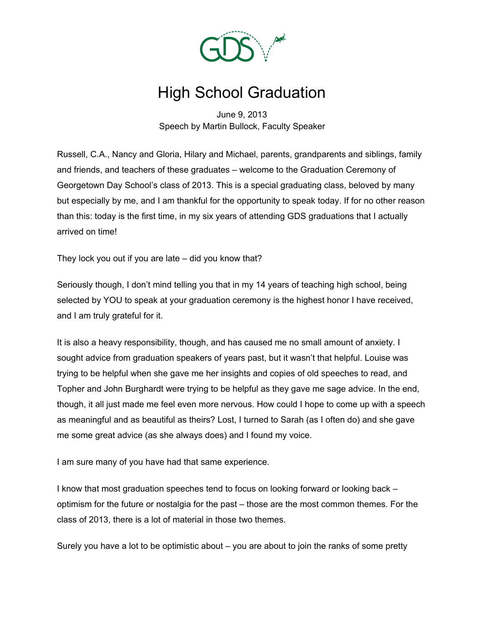

## High School Graduation

June 9, 2013 Speech by Martin Bullock, Faculty Speaker

Russell, C.A., Nancy and Gloria, Hilary and Michael, parents, grandparents and siblings, family and friends, and teachers of these graduates – welcome to the Graduation Ceremony of Georgetown Day School's class of 2013. This is a special graduating class, beloved by many but especially by me, and I am thankful for the opportunity to speak today. If for no other reason than this: today is the first time, in my six years of attending GDS graduations that I actually arrived on time!

They lock you out if you are late – did you know that?

Seriously though, I don't mind telling you that in my 14 years of teaching high school, being selected by YOU to speak at your graduation ceremony is the highest honor I have received, and I am truly grateful for it.

It is also a heavy responsibility, though, and has caused me no small amount of anxiety. I sought advice from graduation speakers of years past, but it wasn't that helpful. Louise was trying to be helpful when she gave me her insights and copies of old speeches to read, and Topher and John Burghardt were trying to be helpful as they gave me sage advice. In the end, though, it all just made me feel even more nervous. How could I hope to come up with a speech as meaningful and as beautiful as theirs? Lost, I turned to Sarah (as I often do) and she gave me some great advice (as she always does) and I found my voice.

I am sure many of you have had that same experience.

I know that most graduation speeches tend to focus on looking forward or looking back – optimism for the future or nostalgia for the past – those are the most common themes. For the class of 2013, there is a lot of material in those two themes.

Surely you have a lot to be optimistic about – you are about to join the ranks of some pretty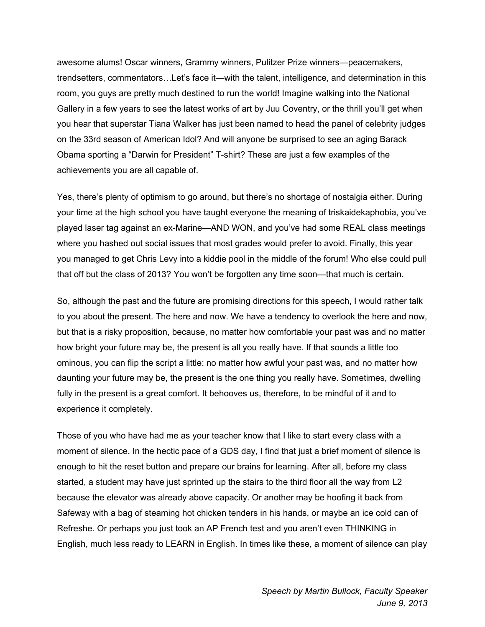awesome alums! Oscar winners, Grammy winners, Pulitzer Prize winners—peacemakers, trendsetters, commentators…Let's face it—with the talent, intelligence, and determination in this room, you guys are pretty much destined to run the world! Imagine walking into the National Gallery in a few years to see the latest works of art by Juu Coventry, or the thrill you'll get when you hear that superstar Tiana Walker has just been named to head the panel of celebrity judges on the 33rd season of American Idol? And will anyone be surprised to see an aging Barack Obama sporting a "Darwin for President" T-shirt? These are just a few examples of the achievements you are all capable of.

Yes, there's plenty of optimism to go around, but there's no shortage of nostalgia either. During your time at the high school you have taught everyone the meaning of triskaidekaphobia, you've played laser tag against an ex-Marine—AND WON, and you've had some REAL class meetings where you hashed out social issues that most grades would prefer to avoid. Finally, this year you managed to get Chris Levy into a kiddie pool in the middle of the forum! Who else could pull that off but the class of 2013? You won't be forgotten any time soon—that much is certain.

So, although the past and the future are promising directions for this speech, I would rather talk to you about the present. The here and now. We have a tendency to overlook the here and now, but that is a risky proposition, because, no matter how comfortable your past was and no matter how bright your future may be, the present is all you really have. If that sounds a little too ominous, you can flip the script a little: no matter how awful your past was, and no matter how daunting your future may be, the present is the one thing you really have. Sometimes, dwelling fully in the present is a great comfort. It behooves us, therefore, to be mindful of it and to experience it completely.

Those of you who have had me as your teacher know that I like to start every class with a moment of silence. In the hectic pace of a GDS day, I find that just a brief moment of silence is enough to hit the reset button and prepare our brains for learning. After all, before my class started, a student may have just sprinted up the stairs to the third floor all the way from L2 because the elevator was already above capacity. Or another may be hoofing it back from Safeway with a bag of steaming hot chicken tenders in his hands, or maybe an ice cold can of Refreshe. Or perhaps you just took an AP French test and you aren't even THINKING in English, much less ready to LEARN in English. In times like these, a moment of silence can play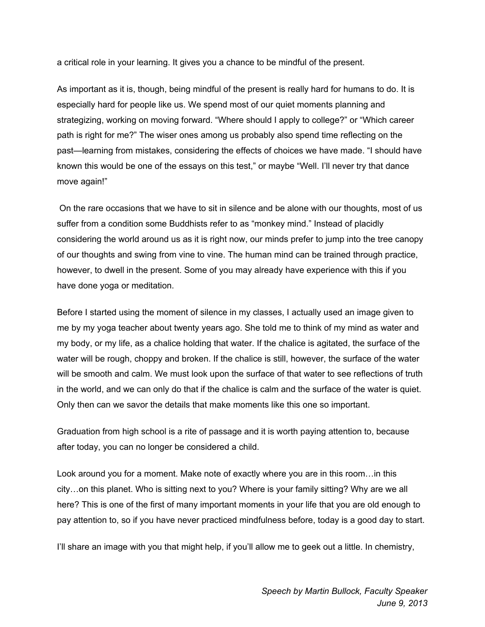a critical role in your learning. It gives you a chance to be mindful of the present.

As important as it is, though, being mindful of the present is really hard for humans to do. It is especially hard for people like us. We spend most of our quiet moments planning and strategizing, working on moving forward. "Where should I apply to college?" or "Which career path is right for me?" The wiser ones among us probably also spend time reflecting on the past—learning from mistakes, considering the effects of choices we have made. "I should have known this would be one of the essays on this test," or maybe "Well. I'll never try that dance move again!"

On the rare occasions that we have to sit in silence and be alone with our thoughts, most of us suffer from a condition some Buddhists refer to as "monkey mind." Instead of placidly considering the world around us as it is right now, our minds prefer to jump into the tree canopy of our thoughts and swing from vine to vine. The human mind can be trained through practice, however, to dwell in the present. Some of you may already have experience with this if you have done yoga or meditation.

Before I started using the moment of silence in my classes, I actually used an image given to me by my yoga teacher about twenty years ago. She told me to think of my mind as water and my body, or my life, as a chalice holding that water. If the chalice is agitated, the surface of the water will be rough, choppy and broken. If the chalice is still, however, the surface of the water will be smooth and calm. We must look upon the surface of that water to see reflections of truth in the world, and we can only do that if the chalice is calm and the surface of the water is quiet. Only then can we savor the details that make moments like this one so important.

Graduation from high school is a rite of passage and it is worth paying attention to, because after today, you can no longer be considered a child.

Look around you for a moment. Make note of exactly where you are in this room…in this city…on this planet. Who is sitting next to you? Where is your family sitting? Why are we all here? This is one of the first of many important moments in your life that you are old enough to pay attention to, so if you have never practiced mindfulness before, today is a good day to start.

I'll share an image with you that might help, if you'll allow me to geek out a little. In chemistry,